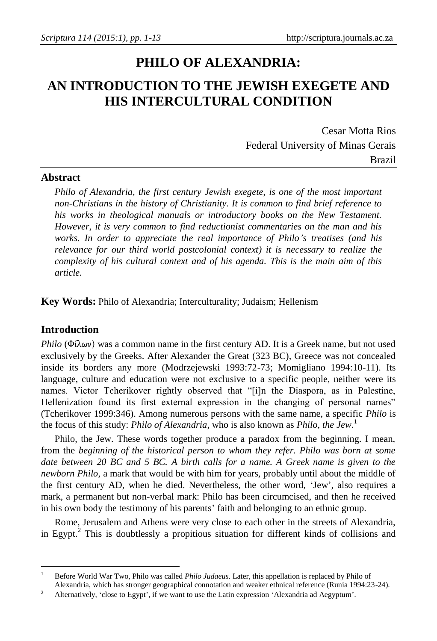# **PHILO OF ALEXANDRIA:**

## **AN INTRODUCTION TO THE JEWISH EXEGETE AND HIS INTERCULTURAL CONDITION**

Cesar Motta Rios Federal University of Minas Gerais Brazil

#### **Abstract**

*Philo of Alexandria, the first century Jewish exegete, is one of the most important non-Christians in the history of Christianity. It is common to find brief reference to his works in theological manuals or introductory books on the New Testament. However, it is very common to find reductionist commentaries on the man and his works. In order to appreciate the real importance of Philo's treatises (and his relevance for our third world postcolonial context) it is necessary to realize the complexity of his cultural context and of his agenda. This is the main aim of this article.*

**Key Words:** Philo of Alexandria; Interculturality; Judaism; Hellenism

#### **Introduction**

 $\ddot{\phantom{a}}$ 

*Philo* (Φίλων) was a common name in the first century AD. It is a Greek name, but not used exclusively by the Greeks. After Alexander the Great (323 BC), Greece was not concealed inside its borders any more (Modrzejewski 1993:72-73; Momigliano 1994:10-11). Its language, culture and education were not exclusive to a specific people, neither were its names. Victor Tcherikover rightly observed that "[i]n the Diaspora, as in Palestine, Hellenization found its first external expression in the changing of personal names" (Tcherikover 1999:346). Among numerous persons with the same name, a specific *Philo* is the focus of this study: *Philo of Alexandria*, who is also known as *Philo, the Jew*. 1

Philo, the Jew. These words together produce a paradox from the beginning. I mean, from the *beginning of the historical person to whom they refer. Philo was born at some date between 20 BC and 5 BC. A birth calls for a name. A Greek name is given to the newborn Philo,* a mark that would be with him for years, probably until about the middle of the first century AD, when he died. Nevertheless, the other word, 'Jew', also requires a mark, a permanent but non-verbal mark: Philo has been circumcised, and then he received in his own body the testimony of his parents' faith and belonging to an ethnic group.

Rome, Jerusalem and Athens were very close to each other in the streets of Alexandria, in Egypt.<sup>2</sup> This is doubtlessly a propitious situation for different kinds of collisions and

<sup>1</sup> Before World War Two, Philo was called *Philo Judaeus*. Later, this appellation is replaced by Philo of

Alexandria, which has stronger geographical connotation and weaker ethnical reference (Runia 1994:23-24). <sup>2</sup> Alternatively, 'close to Egypt', if we want to use the Latin expression 'Alexandria ad Aegyptum'.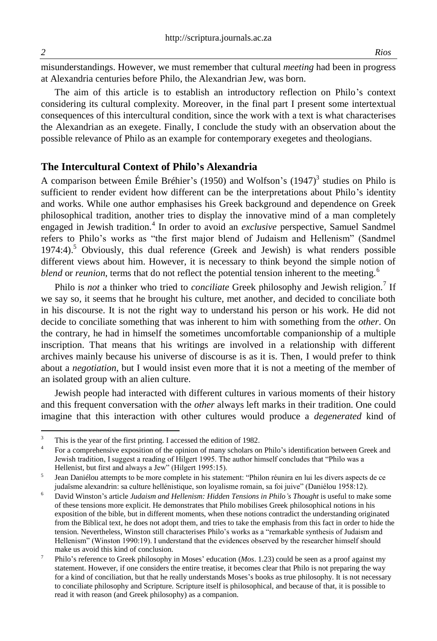1

misunderstandings. However, we must remember that cultural *meeting* had been in progress at Alexandria centuries before Philo, the Alexandrian Jew, was born.

The aim of this article is to establish an introductory reflection on Philo's context considering its cultural complexity. Moreover, in the final part I present some intertextual consequences of this intercultural condition, since the work with a text is what characterises the Alexandrian as an exegete. Finally, I conclude the study with an observation about the possible relevance of Philo as an example for contemporary exegetes and theologians.

#### **The Intercultural Context of Philo's Alexandria**

A comparison between Émile Bréhier's (1950) and Wolfson's (1947) 3 studies on Philo is sufficient to render evident how different can be the interpretations about Philo's identity and works. While one author emphasises his Greek background and dependence on Greek philosophical tradition, another tries to display the innovative mind of a man completely engaged in Jewish tradition.<sup>4</sup> In order to avoid an *exclusive* perspective, Samuel Sandmel refers to Philo's works as "the first major blend of Judaism and Hellenism" (Sandmel  $1974:4$ ).<sup>5</sup> Obviously, this dual reference (Greek and Jewish) is what renders possible different views about him. However, it is necessary to think beyond the simple notion of *blend* or *reunion*, terms that do not reflect the potential tension inherent to the meeting.<sup>6</sup>

Philo is not a thinker who tried to *conciliate* Greek philosophy and Jewish religion.<sup>7</sup> If we say so, it seems that he brought his culture, met another, and decided to conciliate both in his discourse. It is not the right way to understand his person or his work. He did not decide to conciliate something that was inherent to him with something from the *other*. On the contrary, he had in himself the sometimes uncomfortable companionship of a multiple inscription. That means that his writings are involved in a relationship with different archives mainly because his universe of discourse is as it is. Then, I would prefer to think about a *negotiation*, but I would insist even more that it is not a meeting of the member of an isolated group with an alien culture.

Jewish people had interacted with different cultures in various moments of their history and this frequent conversation with the *other* always left marks in their tradition. One could imagine that this interaction with other cultures would produce a *degenerated* kind of

This is the year of the first printing. I accessed the edition of 1982.

<sup>4</sup> For a comprehensive exposition of the opinion of many scholars on Philo's identification between Greek and Jewish tradition, I suggest a reading of Hilgert 1995. The author himself concludes that "Philo was a Hellenist, but first and always a Jew" (Hilgert 1995:15).

<sup>5</sup> Jean Daniélou attempts to be more complete in his statement: "Philon réunira en lui les divers aspects de ce judaïsme alexandrin: sa culture hellénistique, son loyalisme romain, sa foi juive" (Daniélou 1958:12).

<sup>&</sup>lt;sup>6</sup> David Winston's article Judaism and Hellenism: Hidden Tensions in Philo's Thought is useful to make some of these tensions more explicit. He demonstrates that Philo mobilises Greek philosophical notions in his exposition of the bible, but in different moments, when these notions contradict the understanding originated from the Biblical text, he does not adopt them, and tries to take the emphasis from this fact in order to hide the tension. Nevertheless, Winston still characterises Philo's works as a "remarkable synthesis of Judaism and Hellenism" (Winston 1990:19). I understand that the evidences observed by the researcher himself should make us avoid this kind of conclusion.

<sup>7</sup> Philo's reference to Greek philosophy in Moses' education (*Mos*. 1.23) could be seen as a proof against my statement. However, if one considers the entire treatise, it becomes clear that Philo is not preparing the way for a kind of conciliation, but that he really understands Moses's books as true philosophy. It is not necessary to conciliate philosophy and Scripture. Scripture itself is philosophical, and because of that, it is possible to read it with reason (and Greek philosophy) as a companion.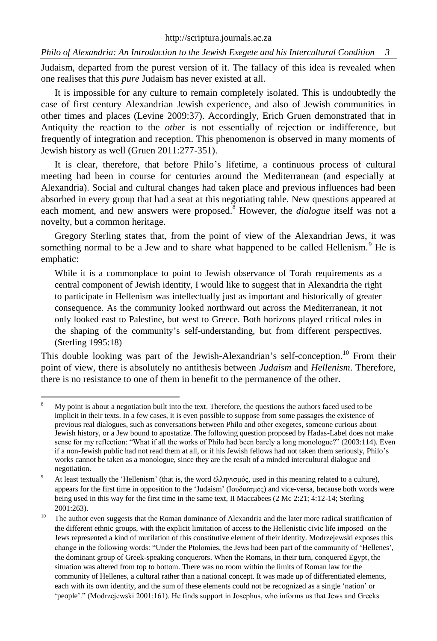Judaism, departed from the purest version of it. The fallacy of this idea is revealed when one realises that this *pure* Judaism has never existed at all.

It is impossible for any culture to remain completely isolated. This is undoubtedly the case of first century Alexandrian Jewish experience, and also of Jewish communities in other times and places (Levine 2009:37). Accordingly, Erich Gruen demonstrated that in Antiquity the reaction to the *other* is not essentially of rejection or indifference, but frequently of integration and reception. This phenomenon is observed in many moments of Jewish history as well (Gruen 2011:277-351).

It is clear, therefore, that before Philo's lifetime, a continuous process of cultural meeting had been in course for centuries around the Mediterranean (and especially at Alexandria). Social and cultural changes had taken place and previous influences had been absorbed in every group that had a seat at this negotiating table. New questions appeared at each moment, and new answers were proposed.<sup>8</sup> However, the *dialogue* itself was not a novelty, but a common heritage.

Gregory Sterling states that, from the point of view of the Alexandrian Jews, it was something normal to be a Jew and to share what happened to be called Hellenism. $9$  He is emphatic:

While it is a commonplace to point to Jewish observance of Torah requirements as a central component of Jewish identity, I would like to suggest that in Alexandria the right to participate in Hellenism was intellectually just as important and historically of greater consequence. As the community looked northward out across the Mediterranean, it not only looked east to Palestine, but west to Greece. Both horizons played critical roles in the shaping of the community's self-understanding, but from different perspectives. (Sterling 1995:18)

This double looking was part of the Jewish-Alexandrian's self-conception.<sup>10</sup> From their point of view, there is absolutely no antithesis between *Judaism* and *Hellenism*. Therefore, there is no resistance to one of them in benefit to the permanence of the other.

 $\ddot{\phantom{a}}$ 

<sup>8</sup> My point is about a negotiation built into the text. Therefore, the questions the authors faced used to be implicit in their texts. In a few cases, it is even possible to suppose from some passages the existence of previous real dialogues, such as conversations between Philo and other exegetes, someone curious about Jewish history, or a Jew bound to apostatize. The following question proposed by Hadas-Label does not make sense for my reflection: "What if all the works of Philo had been barely a long monologue?" (2003:114). Even if a non-Jewish public had not read them at all, or if his Jewish fellows had not taken them seriously, Philo's works cannot be taken as a monologue, since they are the result of a minded intercultural dialogue and negotiation.

<sup>&</sup>lt;sup>9</sup> At least textually the 'Hellenism' (that is, the word έλληνισμός, used in this meaning related to a culture), appears for the first time in opposition to the 'Judaism' (Ιουδαϊσμός) and vice-versa, because both words were being used in this way for the first time in the same text, II Maccabees (2 Mc 2:21; 4:12-14; Sterling 2001:263).

<sup>&</sup>lt;sup>10</sup> The author even suggests that the Roman dominance of Alexandria and the later more radical stratification of the different ethnic groups, with the explicit limitation of access to the Hellenistic civic life imposed on the Jews represented a kind of mutilation of this constitutive element of their identity. Modrzejewski exposes this change in the following words: "Under the Ptolomies, the Jews had been part of the community of 'Hellenes', the dominant group of Greek-speaking conquerors. When the Romans, in their turn, conquered Egypt, the situation was altered from top to bottom. There was no room within the limits of Roman law for the community of Hellenes, a cultural rather than a national concept. It was made up of differentiated elements, each with its own identity, and the sum of these elements could not be recognized as a single 'nation' or 'people'." (Modrzejewski 2001:161). He finds support in Josephus, who informs us that Jews and Greeks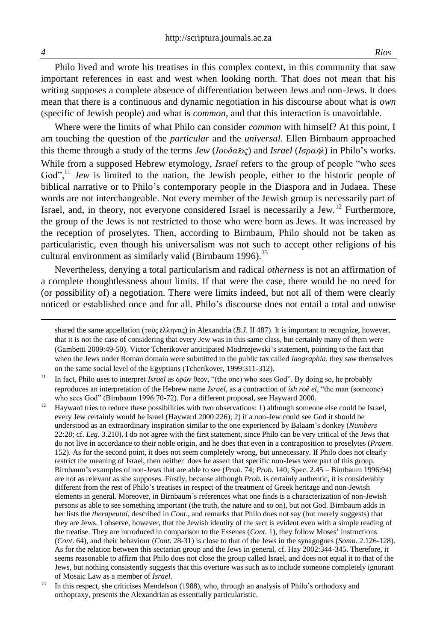Philo lived and wrote his treatises in this complex context, in this community that saw important references in east and west when looking north. That does not mean that his writing supposes a complete absence of differentiation between Jews and non-Jews. It does mean that there is a continuous and dynamic negotiation in his discourse about what is *own* (specific of Jewish people) and what is *common*, and that this interaction is unavoidable.

Where were the limits of what Philo can consider *common* with himself? At this point, I am touching the question of the *particular* and the *universal*. Ellen Birnbaum approached this theme through a study of the terms *Jew* (*Ιουδα*ῖ*ος*) and *Israel* (*Ισρα*ή*λ*) in Philo's works. While from a supposed Hebrew etymology, *Israel* refers to the group of people "who sees God",<sup>11</sup> *Jew* is limited to the nation, the Jewish people, either to the historic people of biblical narrative or to Philo's contemporary people in the Diaspora and in Judaea. These words are not interchangeable. Not every member of the Jewish group is necessarily part of Israel, and, in theory, not everyone considered Israel is necessarily a Jew.<sup>12</sup> Furthermore, the group of the Jews is not restricted to those who were born as Jews. It was increased by the reception of proselytes. Then, according to Birnbaum, Philo should not be taken as particularistic, even though his universalism was not such to accept other religions of his cultural environment as similarly valid (Birnbaum 1996).<sup>13</sup>

Nevertheless, denying a total particularism and radical *otherness* is not an affirmation of a complete thoughtlessness about limits. If that were the case, there would be no need for (or possibility of) a negotiation. There were limits indeed, but not all of them were clearly noticed or established once and for all. Philo's discourse does not entail a total and unwise

shared the same appellation (τοὺς ἕλληνας) in Alexandria (*B.J.* II 487). It is important to recognize, however, that it is not the case of considering that every Jew was in this same class, but certainly many of them were (Gambetti 2009:49-50). Victor Tcherikover anticipated Modrzejewski's statement, pointing to the fact that when the Jews under Roman domain were submitted to the public tax called *laographia*, they saw themselves on the same social level of the Egyptians (Tcherikover, 1999:311-312).

1

<sup>&</sup>lt;sup>11</sup> In fact, Philo uses to interpret *Israel* as όρῶν θεόν, "(the one) who sees God". By doing so, he probably reproduces an interpretation of the Hebrew name *Israel*, as a contraction of *ish roê el*, "the man (someone) who sees God" (Birnbaum 1996:70-72). For a different proposal, see Hayward 2000.

<sup>12</sup> Hayward tries to reduce these possibilities with two observations: 1) although someone else could be Israel, every Jew certainly would be Israel (Hayward 2000:226); 2) if a non-Jew could see God it should be understood as an extraordinary inspiration similar to the one experienced by Balaam's donkey (*Numbers* 22:28; cf. *Leg*. 3.210). I do not agree with the first statement, since Philo can be very critical of the Jews that do not live in accordance to their noble origin, and he does that even in a contraposition to proselytes (*Praem*. 152). As for the second point, it does not seem completely wrong, but unnecessary. If Philo does not clearly restrict the meaning of Israel, then neither does he assert that specific non-Jews were part of this group. Birnbaum's examples of non-Jews that are able to see (*Prob.* 74; *Prob.* 140; Spec. 2.45 – Birnbaum 1996:94) are not as relevant as she supposes. Firstly, because although *Prob.* is certainly authentic, it is considerably different from the rest of Philo's treatises in respect of the treatment of Greek heritage and non-Jewish elements in general. Moreover, in Birnbaum's references what one finds is a characterization of non-Jewish persons as able to see something important (the truth, the nature and so on), but not God. Birnbaum adds in her lists the *therapeutaí*, described in *Cont*., and remarks that Philo does not say (but merely suggests) that they are Jews. I observe, however, that the Jewish identity of the sect is evident even with a simple reading of the treatise. They are introduced in comparison to the Essenes (*Cont*. 1), they follow Moses' instructions (*Cont*. 64), and their behaviour (*Cont*. 28-31) is close to that of the Jews in the synagogues (*Somn*. 2.126-128). As for the relation between this sectarian group and the Jews in general, cf. Hay 2002:344-345. Therefore, it seems reasonable to affirm that Philo does not close the group called Israel, and does not equal it to that of the Jews, but nothing consistently suggests that this overture was such as to include someone completely ignorant of Mosaic Law as a member of *Israel*.

<sup>&</sup>lt;sup>13</sup> In this respect, she criticises Mendelson (1988), who, through an analysis of Philo's orthodoxy and orthopraxy, presents the Alexandrian as essentially particularistic.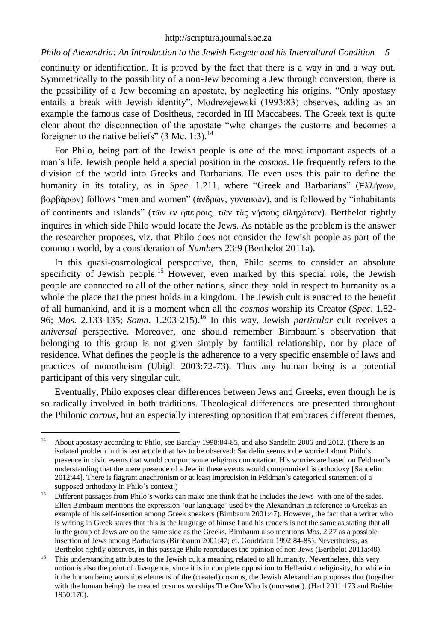continuity or identification. It is proved by the fact that there is a way in and a way out. Symmetrically to the possibility of a non-Jew becoming a Jew through conversion, there is the possibility of a Jew becoming an apostate, by neglecting his origins. "Only apostasy entails a break with Jewish identity", Modrezejewski (1993:83) observes, adding as an example the famous case of Dositheus, recorded in III Maccabees. The Greek text is quite clear about the disconnection of the apostate "who changes the customs and becomes a foreigner to the native beliefs"  $(3 \text{ Mc. } 1:3)$ .<sup>14</sup>

For Philo, being part of the Jewish people is one of the most important aspects of a man's life. Jewish people held a special position in the *cosmos*. He frequently refers to the division of the world into Greeks and Barbarians. He even uses this pair to define the humanity in its totality, as in *Spec*. 1.211, where "Greek and Barbarians" (Ἑλλήνων, βαρβάρων) follows "men and women" (ἀνδρῶν, γυναικῶν), and is followed by "inhabitants of continents and islands" (τῶν ἐν ἠπείροις, τῶν τὰς νήσους εἰληχότων). Berthelot rightly inquires in which side Philo would locate the Jews. As notable as the problem is the answer the researcher proposes, viz. that Philo does not consider the Jewish people as part of the common world, by a consideration of *Numbers* 23:9 (Berthelot 2011a).

In this quasi-cosmological perspective, then, Philo seems to consider an absolute specificity of Jewish people.<sup>15</sup> However, even marked by this special role, the Jewish people are connected to all of the other nations, since they hold in respect to humanity as a whole the place that the priest holds in a kingdom. The Jewish cult is enacted to the benefit of all humankind, and it is a moment when all the *cosmos* worship its Creator (*Spec*. 1.82- 96; *Mos*. 2.133-135; *Somn*. 1.203-215).<sup>16</sup> In this way, Jewish *particular* cult receives a *universal* perspective. Moreover, one should remember Birnbaum's observation that belonging to this group is not given simply by familial relationship, nor by place of residence. What defines the people is the adherence to a very specific ensemble of laws and practices of monotheism (Ubigli 2003:72-73). Thus any human being is a potential participant of this very singular cult.

Eventually, Philo exposes clear differences between Jews and Greeks, even though he is so radically involved in both traditions. Theological differences are presented throughout the Philonic *corpus*, but an especially interesting opposition that embraces different themes,

 $14$ <sup>14</sup> About apostasy according to Philo, see Barclay 1998:84-85, and also Sandelin 2006 and 2012. (There is an isolated problem in this last article that has to be observed: Sandelin seems to be worried about Philo's presence in civic events that would comport some religious connotation. His worries are based on Feldman's understanding that the mere presence of a Jew in these events would compromise his orthodoxy [Sandelin 2012:44]. There is flagrant anachronism or at least imprecision in Feldman`s categorical statement of a supposed orthodoxy in Philo's context.)

<sup>&</sup>lt;sup>15</sup> Different passages from Philo's works can make one think that he includes the Jews with one of the sides. Ellen Birnbaum mentions the expression 'our language' used by the Alexandrian in reference to Greekas an example of his self-insertion among Greek speakers (Birnbaum 2001:47). However, the fact that a writer who is writing in Greek states that this is the language of himself and his readers is not the same as stating that all in the group of Jews are on the same side as the Greeks. Birnbaum also mentions *Mos*. 2.27 as a possible insertion of Jews among Barbarians (Birnbaum 2001:47; cf. Goudriaan 1992:84-85). Nevertheless, as Berthelot rightly observes, in this passage Philo reproduces the opinion of non-Jews (Berthelot 2011a:48).

<sup>&</sup>lt;sup>16</sup> This understanding attributes to the Jewish cult a meaning related to all humanity. Nevertheless, this very notion is also the point of divergence, since it is in complete opposition to Hellenistic religiosity, for while in it the human being worships elements of the (created) cosmos, the Jewish Alexandrian proposes that (together with the human being) the created cosmos worships The One Who Is (uncreated). (Harl 2011:173 and Bréhier 1950:170).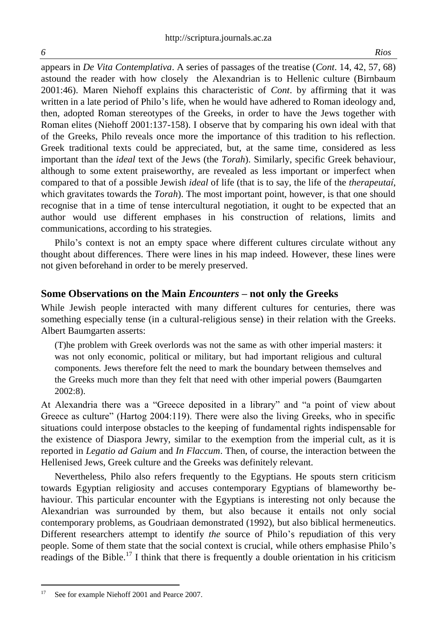appears in *De Vita Contemplativa*. A series of passages of the treatise (*Cont*. 14, 42, 57, 68) astound the reader with how closely the Alexandrian is to Hellenic culture (Birnbaum 2001:46). Maren Niehoff explains this characteristic of *Cont*. by affirming that it was written in a late period of Philo's life, when he would have adhered to Roman ideology and, then, adopted Roman stereotypes of the Greeks, in order to have the Jews together with Roman elites (Niehoff 2001:137-158). I observe that by comparing his own ideal with that of the Greeks, Philo reveals once more the importance of this tradition to his reflection. Greek traditional texts could be appreciated, but, at the same time, considered as less important than the *ideal* text of the Jews (the *Torah*). Similarly, specific Greek behaviour, although to some extent praiseworthy, are revealed as less important or imperfect when compared to that of a possible Jewish *ideal* of life (that is to say, the life of the *therapeutaí*, which gravitates towards the *Torah*). The most important point, however, is that one should recognise that in a time of tense intercultural negotiation, it ought to be expected that an author would use different emphases in his construction of relations, limits and communications, according to his strategies.

Philo's context is not an empty space where different cultures circulate without any thought about differences. There were lines in his map indeed. However, these lines were not given beforehand in order to be merely preserved.

#### **Some Observations on the Main** *Encounters* **– not only the Greeks**

While Jewish people interacted with many different cultures for centuries, there was something especially tense (in a cultural-religious sense) in their relation with the Greeks. Albert Baumgarten asserts:

(T)he problem with Greek overlords was not the same as with other imperial masters: it was not only economic, political or military, but had important religious and cultural components. Jews therefore felt the need to mark the boundary between themselves and the Greeks much more than they felt that need with other imperial powers (Baumgarten 2002:8).

At Alexandria there was a "Greece deposited in a library" and "a point of view about Greece as culture" (Hartog 2004:119). There were also the living Greeks, who in specific situations could interpose obstacles to the keeping of fundamental rights indispensable for the existence of Diaspora Jewry, similar to the exemption from the imperial cult, as it is reported in *Legatio ad Gaium* and *In Flaccum*. Then, of course, the interaction between the Hellenised Jews, Greek culture and the Greeks was definitely relevant.

Nevertheless, Philo also refers frequently to the Egyptians. He spouts stern criticism towards Egyptian religiosity and accuses contemporary Egyptians of blameworthy behaviour. This particular encounter with the Egyptians is interesting not only because the Alexandrian was surrounded by them, but also because it entails not only social contemporary problems, as Goudriaan demonstrated (1992), but also biblical hermeneutics. Different researchers attempt to identify *the* source of Philo's repudiation of this very people. Some of them state that the social context is crucial, while others emphasise Philo's readings of the Bible.<sup>17</sup> I think that there is frequently a double orientation in his criticism

 $17$ See for example Niehoff 2001 and Pearce 2007.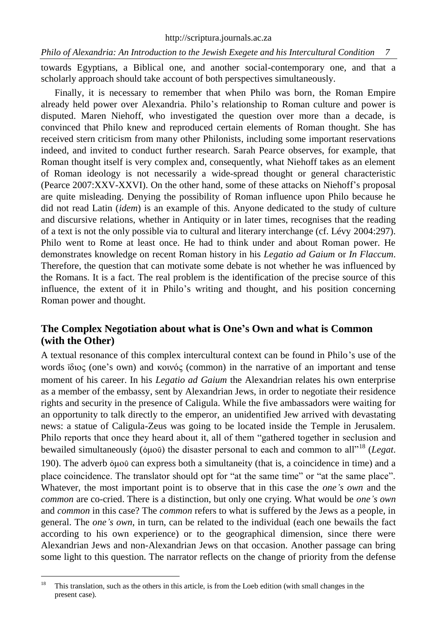towards Egyptians, a Biblical one, and another social-contemporary one, and that a scholarly approach should take account of both perspectives simultaneously.

Finally, it is necessary to remember that when Philo was born, the Roman Empire already held power over Alexandria. Philo's relationship to Roman culture and power is disputed. Maren Niehoff, who investigated the question over more than a decade, is convinced that Philo knew and reproduced certain elements of Roman thought. She has received stern criticism from many other Philonists, including some important reservations indeed, and invited to conduct further research. Sarah Pearce observes, for example, that Roman thought itself is very complex and, consequently, what Niehoff takes as an element of Roman ideology is not necessarily a wide-spread thought or general characteristic (Pearce 2007:XXV-XXVI). On the other hand, some of these attacks on Niehoff's proposal are quite misleading. Denying the possibility of Roman influence upon Philo because he did not read Latin (*idem*) is an example of this. Anyone dedicated to the study of culture and discursive relations, whether in Antiquity or in later times, recognises that the reading of a text is not the only possible via to cultural and literary interchange (cf. Lévy 2004:297). Philo went to Rome at least once. He had to think under and about Roman power. He demonstrates knowledge on recent Roman history in his *Legatio ad Gaium* or *In Flaccum*. Therefore, the question that can motivate some debate is not whether he was influenced by the Romans. It is a fact. The real problem is the identification of the precise source of this influence, the extent of it in Philo's writing and thought, and his position concerning Roman power and thought.

### **The Complex Negotiation about what is One's Own and what is Common (with the Other)**

A textual resonance of this complex intercultural context can be found in Philo's use of the words ἴδιος (one's own) and κοινός (common) in the narrative of an important and tense moment of his career. In his *Legatio ad Gaium* the Alexandrian relates his own enterprise as a member of the embassy, sent by Alexandrian Jews, in order to negotiate their residence rights and security in the presence of Caligula. While the five ambassadors were waiting for an opportunity to talk directly to the emperor, an unidentified Jew arrived with devastating news: a statue of Caligula-Zeus was going to be located inside the Temple in Jerusalem. Philo reports that once they heard about it, all of them "gathered together in seclusion and bewailed simultaneously (ὁμοῦ) the disaster personal to each and common to all"<sup>18</sup> (*Legat*. 190). The adverb ὁμοῦ can express both a simultaneity (that is, a coincidence in time) and a place coincidence. The translator should opt for "at the same time" or "at the same place". Whatever, the most important point is to observe that in this case the *one's own* and the *common* are co-cried. There is a distinction, but only one crying. What would be *one's own* and *common* in this case? The *common* refers to what is suffered by the Jews as a people, in general. The *one's own*, in turn, can be related to the individual (each one bewails the fact according to his own experience) or to the geographical dimension, since there were Alexandrian Jews and non-Alexandrian Jews on that occasion. Another passage can bring some light to this question. The narrator reflects on the change of priority from the defense

<sup>18</sup> <sup>18</sup> This translation, such as the others in this article, is from the Loeb edition (with small changes in the present case).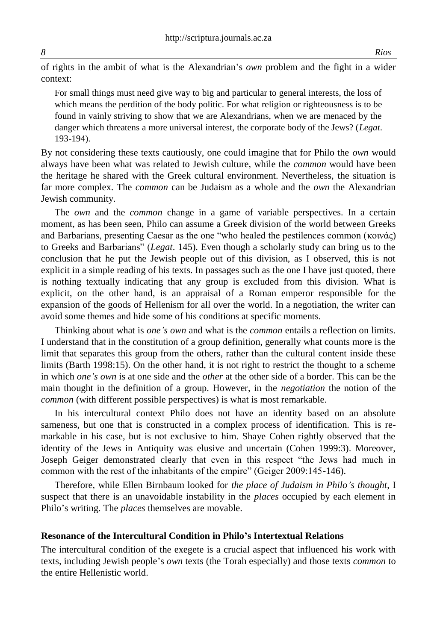of rights in the ambit of what is the Alexandrian's *own* problem and the fight in a wider context:

For small things must need give way to big and particular to general interests, the loss of which means the perdition of the body politic. For what religion or righteousness is to be found in vainly striving to show that we are Alexandrians, when we are menaced by the danger which threatens a more universal interest, the corporate body of the Jews? (*Legat*. 193-194).

By not considering these texts cautiously, one could imagine that for Philo the *own* would always have been what was related to Jewish culture, while the *common* would have been the heritage he shared with the Greek cultural environment. Nevertheless, the situation is far more complex. The *common* can be Judaism as a whole and the *own* the Alexandrian Jewish community.

The *own* and the *common* change in a game of variable perspectives. In a certain moment, as has been seen, Philo can assume a Greek division of the world between Greeks and Barbarians, presenting Caesar as the one "who healed the pestilences common (κοινάς) to Greeks and Barbarians" (*Legat*. 145). Even though a scholarly study can bring us to the conclusion that he put the Jewish people out of this division, as I observed, this is not explicit in a simple reading of his texts. In passages such as the one I have just quoted, there is nothing textually indicating that any group is excluded from this division. What is explicit, on the other hand, is an appraisal of a Roman emperor responsible for the expansion of the goods of Hellenism for all over the world. In a negotiation, the writer can avoid some themes and hide some of his conditions at specific moments.

Thinking about what is *one's own* and what is the *common* entails a reflection on limits. I understand that in the constitution of a group definition, generally what counts more is the limit that separates this group from the others, rather than the cultural content inside these limits (Barth 1998:15). On the other hand, it is not right to restrict the thought to a scheme in which *one's own* is at one side and the *other* at the other side of a border. This can be the main thought in the definition of a group. However, in the *negotiation* the notion of the *common* (with different possible perspectives) is what is most remarkable.

In his intercultural context Philo does not have an identity based on an absolute sameness, but one that is constructed in a complex process of identification. This is remarkable in his case, but is not exclusive to him. Shaye Cohen rightly observed that the identity of the Jews in Antiquity was elusive and uncertain (Cohen 1999:3). Moreover, Joseph Geiger demonstrated clearly that even in this respect "the Jews had much in common with the rest of the inhabitants of the empire" (Geiger 2009:145-146).

Therefore, while Ellen Birnbaum looked for *the place of Judaism in Philo's thought*, I suspect that there is an unavoidable instability in the *places* occupied by each element in Philo's writing. The *places* themselves are movable.

#### **Resonance of the Intercultural Condition in Philo's Intertextual Relations**

The intercultural condition of the exegete is a crucial aspect that influenced his work with texts, including Jewish people's *own* texts (the Torah especially) and those texts *common* to the entire Hellenistic world.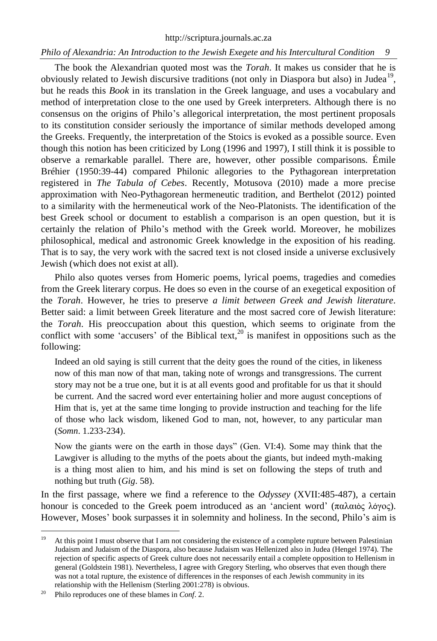The book the Alexandrian quoted most was the *Torah*. It makes us consider that he is obviously related to Jewish discursive traditions (not only in Diaspora but also) in Judea<sup>19</sup>, but he reads this *Book* in its translation in the Greek language, and uses a vocabulary and method of interpretation close to the one used by Greek interpreters. Although there is no consensus on the origins of Philo's allegorical interpretation, the most pertinent proposals to its constitution consider seriously the importance of similar methods developed among the Greeks. Frequently, the interpretation of the Stoics is evoked as a possible source. Even though this notion has been criticized by Long (1996 and 1997), I still think it is possible to observe a remarkable parallel. There are, however, other possible comparisons. Émile Bréhier (1950:39-44) compared Philonic allegories to the Pythagorean interpretation registered in *The Tabula of Cebes*. Recently, Motusova (2010) made a more precise approximation with Neo-Pythagorean hermeneutic tradition, and Berthelot (2012) pointed to a similarity with the hermeneutical work of the Neo-Platonists. The identification of the best Greek school or document to establish a comparison is an open question, but it is certainly the relation of Philo's method with the Greek world. Moreover, he mobilizes philosophical, medical and astronomic Greek knowledge in the exposition of his reading. That is to say, the very work with the sacred text is not closed inside a universe exclusively Jewish (which does not exist at all).

Philo also quotes verses from Homeric poems, lyrical poems, tragedies and comedies from the Greek literary corpus. He does so even in the course of an exegetical exposition of the *Torah*. However, he tries to preserve *a limit between Greek and Jewish literature*. Better said: a limit between Greek literature and the most sacred core of Jewish literature: the *Torah*. His preoccupation about this question, which seems to originate from the conflict with some 'accusers' of the Biblical text,<sup>20</sup> is manifest in oppositions such as the following:

Indeed an old saying is still current that the deity goes the round of the cities, in likeness now of this man now of that man, taking note of wrongs and transgressions. The current story may not be a true one, but it is at all events good and profitable for us that it should be current. And the sacred word ever entertaining holier and more august conceptions of Him that is, yet at the same time longing to provide instruction and teaching for the life of those who lack wisdom, likened God to man, not, however, to any particular man (*Somn*. 1.233-234).

Now the giants were on the earth in those days" (Gen. VI:4). Some may think that the Lawgiver is alluding to the myths of the poets about the giants, but indeed myth-making is a thing most alien to him, and his mind is set on following the steps of truth and nothing but truth (*Gig*. 58).

In the first passage, where we find a reference to the *Odyssey* (XVII:485-487), a certain honour is conceded to the Greek poem introduced as an 'ancient word' (παλαιὸς λόγος). However, Moses' book surpasses it in solemnity and holiness. In the second, Philo's aim is

 $\ddot{\phantom{a}}$ 

<sup>&</sup>lt;sup>19</sup> At this point I must observe that I am not considering the existence of a complete rupture between Palestinian Judaism and Judaism of the Diaspora, also because Judaism was Hellenized also in Judea (Hengel 1974). The rejection of specific aspects of Greek culture does not necessarily entail a complete opposition to Hellenism in general (Goldstein 1981). Nevertheless, I agree with Gregory Sterling, who observes that even though there was not a total rupture, the existence of differences in the responses of each Jewish community in its relationship with the Hellenism (Sterling 2001:278) is obvious.

<sup>20</sup> Philo reproduces one of these blames in *Conf*. 2.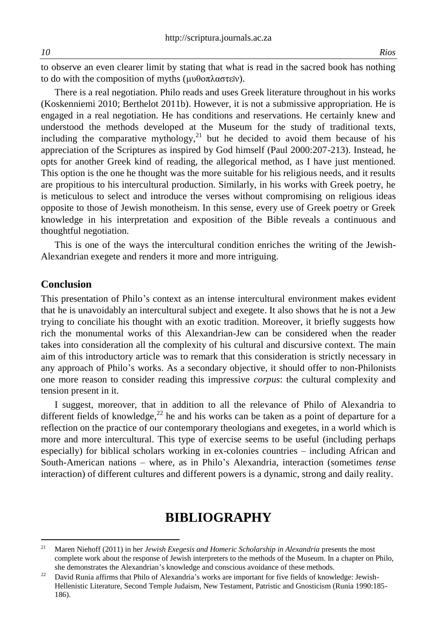to observe an even clearer limit by stating that what is read in the sacred book has nothing to do with the composition of myths (μυθοπλαστεῖν).

There is a real negotiation. Philo reads and uses Greek literature throughout in his works (Koskenniemi 2010; Berthelot 2011b). However, it is not a submissive appropriation. He is engaged in a real negotiation. He has conditions and reservations. He certainly knew and understood the methods developed at the Museum for the study of traditional texts, including the comparative mythology, $21$  but he decided to avoid them because of his appreciation of the Scriptures as inspired by God himself (Paul 2000:207-213). Instead, he opts for another Greek kind of reading, the allegorical method, as I have just mentioned. This option is the one he thought was the more suitable for his religious needs, and it results are propitious to his intercultural production. Similarly, in his works with Greek poetry, he is meticulous to select and introduce the verses without compromising on religious ideas opposite to those of Jewish monotheism. In this sense, every use of Greek poetry or Greek knowledge in his interpretation and exposition of the Bible reveals a continuous and thoughtful negotiation.

This is one of the ways the intercultural condition enriches the writing of the Jewish-Alexandrian exegete and renders it more and more intriguing.

#### **Conclusion**

This presentation of Philo's context as an intense intercultural environment makes evident that he is unavoidably an intercultural subject and exegete. It also shows that he is not a Jew trying to conciliate his thought with an exotic tradition. Moreover, it briefly suggests how rich the monumental works of this Alexandrian-Jew can be considered when the reader takes into consideration all the complexity of his cultural and discursive context. The main aim of this introductory article was to remark that this consideration is strictly necessary in any approach of Philo's works. As a secondary objective, it should offer to non-Philonists one more reason to consider reading this impressive *corpus*: the cultural complexity and tension present in it.

I suggest, moreover, that in addition to all the relevance of Philo of Alexandria to different fields of knowledge, $^{22}$  he and his works can be taken as a point of departure for a reflection on the practice of our contemporary theologians and exegetes, in a world which is more and more intercultural. This type of exercise seems to be useful (including perhaps especially) for biblical scholars working in ex-colonies countries – including African and South-American nations – where, as in Philo's Alexandria, interaction (sometimes *tense* interaction) of different cultures and different powers is a dynamic, strong and daily reality.

## **BIBLIOGRAPHY**

 $21$ <sup>21</sup> Maren Niehoff (2011) in her *Jewish Exegesis and Homeric Scholarship in Alexandria* presents the most complete work about the response of Jewish interpreters to the methods of the Museum. In a chapter on Philo, she demonstrates the Alexandrian's knowledge and conscious avoidance of these methods.

<sup>22</sup> David Runia affirms that Philo of Alexandria's works are important for five fields of knowledge: Jewish-Hellenistic Literature, Second Temple Judaism, New Testament, Patristic and Gnosticism (Runia 1990:185- 186).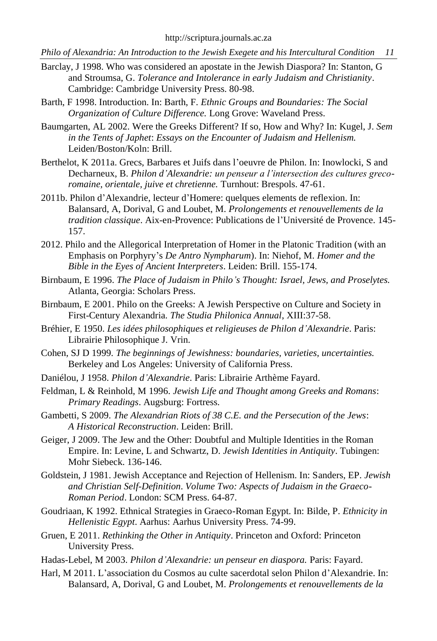- Barclay, J 1998. Who was considered an apostate in the Jewish Diaspora? In: Stanton, G and Stroumsa, G. *Tolerance and Intolerance in early Judaism and Christianity*. Cambridge: Cambridge University Press. 80-98.
- Barth, F 1998. Introduction. In: Barth, F. *Ethnic Groups and Boundaries: The Social Organization of Culture Difference.* Long Grove: Waveland Press.
- Baumgarten, AL 2002. Were the Greeks Different? If so, How and Why? In: Kugel, J. *Sem in the Tents of Japhet*: *Essays on the Encounter of Judaism and Hellenism.*  Leiden/Boston/Koln: Brill.
- Berthelot, K 2011a. Grecs, Barbares et Juifs dans l'oeuvre de Philon. In: Inowlocki, S and Decharneux, B. *Philon d'Alexandrie: un penseur a l'intersection des cultures grecoromaine, orientale, juive et chretienne.* Turnhout: Brespols. 47-61.
- 2011b. Philon d'Alexandrie, lecteur d'Homere: quelques elements de reflexion. In: Balansard, A, Dorival, G and Loubet, M. *Prolongements et renouvellements de la tradition classique*. Aix-en-Provence: Publications de l'Université de Provence. 145- 157.
- 2012. Philo and the Allegorical Interpretation of Homer in the Platonic Tradition (with an Emphasis on Porphyry's *De Antro Nympharum*). In: Niehof, M. *Homer and the Bible in the Eyes of Ancient Interpreters*. Leiden: Brill. 155-174.
- Birnbaum, E 1996. *The Place of Judaism in Philo's Thought: Israel, Jews, and Proselytes.* Atlanta, Georgia: Scholars Press.
- Birnbaum, E 2001. Philo on the Greeks: A Jewish Perspective on Culture and Society in First-Century Alexandria. *The Studia Philonica Annual*, XIII:37-58.
- Bréhier, E 1950. *Les idées philosophiques et religieuses de Philon d'Alexandrie*. Paris: Librairie Philosophique J. Vrin.
- Cohen, SJ D 1999. *The beginnings of Jewishness: boundaries, varieties, uncertainties.* Berkeley and Los Angeles: University of California Press.
- Daniélou, J 1958. *Philon d'Alexandrie*. Paris: Librairie Arthème Fayard.
- Feldman, L & Reinhold, M 1996. *Jewish Life and Thought among Greeks and Romans*: *Primary Readings*. Augsburg: Fortress.
- Gambetti, S 2009. *The Alexandrian Riots of 38 C.E. and the Persecution of the Jews*: *A Historical Reconstruction*. Leiden: Brill.
- Geiger, J 2009. The Jew and the Other: Doubtful and Multiple Identities in the Roman Empire. In: Levine, L and Schwartz, D. *Jewish Identities in Antiquity*. Tubingen: Mohr Siebeck. 136-146.
- Goldstein, J 1981. Jewish Acceptance and Rejection of Hellenism. In: Sanders, EP. *Jewish and Christian Self-Definition*. *Volume Two: Aspects of Judaism in the Graeco-Roman Period*. London: SCM Press. 64-87.
- Goudriaan, K 1992. Ethnical Strategies in Graeco-Roman Egypt. In: Bilde, P. *Ethnicity in Hellenistic Egypt*. Aarhus: Aarhus University Press. 74-99.
- Gruen, E 2011. *Rethinking the Other in Antiquity*. Princeton and Oxford: Princeton University Press.
- Hadas-Lebel, M 2003. *Philon d'Alexandrie: un penseur en diaspora.* Paris: Fayard.
- Harl, M 2011. L'association du Cosmos au culte sacerdotal selon Philon d'Alexandrie. In: Balansard, A, Dorival, G and Loubet, M. *Prolongements et renouvellements de la*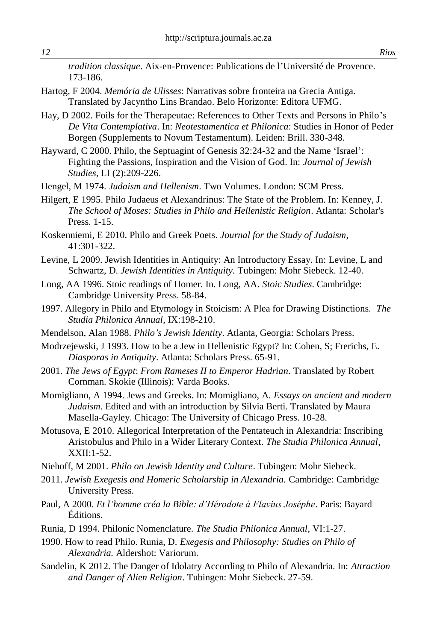*tradition classique*. Aix-en-Provence: Publications de l'Université de Provence. 173-186.

- Hartog, F 2004. *Memória de Ulisses*: Narrativas sobre fronteira na Grecia Antiga. Translated by Jacyntho Lins Brandao. Belo Horizonte: Editora UFMG.
- Hay, D 2002. Foils for the Therapeutae: References to Other Texts and Persons in Philo's *De Vita Contemplativa*. In: *Neotestamentica et Philonica*: Studies in Honor of Peder Borgen (Supplements to Novum Testamentum). Leiden: Brill. 330-348.
- Hayward, C 2000. Philo, the Septuagint of Genesis 32:24-32 and the Name 'Israel': Fighting the Passions, Inspiration and the Vision of God. In: *Journal of Jewish Studies*, LI (2):209-226.
- Hengel, M 1974. *Judaism and Hellenism*. Two Volumes. London: SCM Press.
- Hilgert, E 1995. Philo Judaeus et Alexandrinus: The State of the Problem. In: Kenney, J. *The School of Moses: Studies in Philo and Hellenistic Religion*. Atlanta: Scholar's Press. 1-15.
- Koskenniemi, E 2010. Philo and Greek Poets. *Journal for the Study of Judaism*, 41:301-322.
- Levine, L 2009. Jewish Identities in Antiquity: An Introductory Essay. In: Levine, L and Schwartz, D. *Jewish Identities in Antiquity.* Tubingen: Mohr Siebeck. 12-40.
- Long, AA 1996. Stoic readings of Homer. In. Long, AA. *Stoic Studies*. Cambridge: Cambridge University Press. 58-84.
- 1997. Allegory in Philo and Etymology in Stoicism: A Plea for Drawing Distinctions. *The Studia Philonica Annual*, IX:198-210.
- Mendelson, Alan 1988. *Philo's Jewish Identity*. Atlanta, Georgia: Scholars Press.
- Modrzejewski, J 1993. How to be a Jew in Hellenistic Egypt? In: Cohen, S; Frerichs, E. *Diasporas in Antiquity*. Atlanta: Scholars Press. 65-91.
- 2001. *The Jews of Egypt*: *From Rameses II to Emperor Hadrian*. Translated by Robert Cornman. Skokie (Illinois): Varda Books.
- Momigliano, A 1994. Jews and Greeks. In: Momigliano, A. *Essays on ancient and modern Judaism*. Edited and with an introduction by Silvia Berti. Translated by Maura Masella-Gayley. Chicago: The University of Chicago Press. 10-28.
- Motusova, E 2010. Allegorical Interpretation of the Pentateuch in Alexandria: Inscribing Aristobulus and Philo in a Wider Literary Context. *The Studia Philonica Annual*,  $XXII:1-52$ .
- Niehoff, M 2001. *Philo on Jewish Identity and Culture*. Tubingen: Mohr Siebeck.
- 2011. *Jewish Exegesis and Homeric Scholarship in Alexandria.* Cambridge: Cambridge University Press.
- Paul, A 2000. *Et l'homme créa la Bible: d'Hérodote à Flavius Joséphe*. Paris: Bayard Éditions.
- Runia, D 1994. Philonic Nomenclature. *The Studia Philonica Annual*, VI:1-27.
- 1990. How to read Philo. Runia, D. *Exegesis and Philosophy: Studies on Philo of Alexandria.* Aldershot: Variorum.
- Sandelin, K 2012. The Danger of Idolatry According to Philo of Alexandria. In: *Attraction and Danger of Alien Religion*. Tubingen: Mohr Siebeck. 27-59.